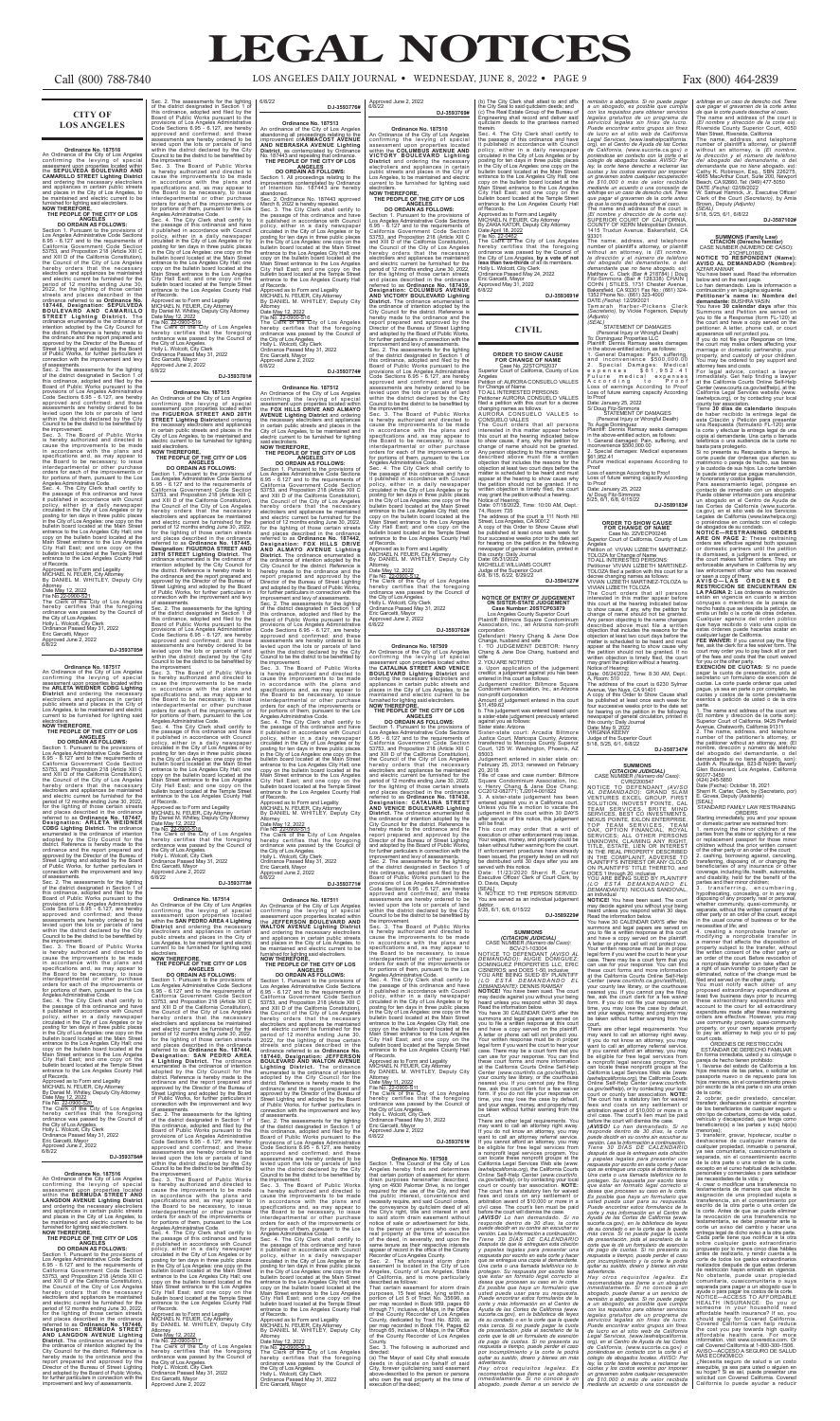# **CITY OF LOS ANGELES**

## **Ordinance No. 187518**

An Ordinance of the City of Los Angeles confirming the levying of special assessment upon properties located within the **SEPULVEDA BOULEVARD AND CAMARILLO STREET Lighting District** and ordering the necessary electroliers and appliances in certain public streets and places in the City of Los Angeles, to be maintained and electric current to be furnished for lighting said electroliers. **NOW THEREFORE,**

## **THE PEOPLE OF THE CITY OF LOS ANGELES DO ORDAIN AS FOLLOWS:**

Section 1. Pursuant to the provisions of<br>Los Angeles Administrative Code Sections<br>6.95 - 6.127 and to the requirements of<br>California Government Code Section<br>53753, and Proposition 218 (Article XIII C<br>and XIII D of the Cali the Council of the City of Los Angeles hereby orders that the necessary electroliers and appliances be maintained<br>and electric current be furnished for the<br>period of 12 months ending June 30,<br>2022, for the lighting of those certain<br>streets and places described in the<br>ordinance referred to as **STREET Lighting District.** The ordinance enumerated is the ordinance of intention adopted by the City Council for the district. Reference is hereby made to the ordinance and the report prepared and<br>approved by the Director of the Bureau of<br>Street Lighting and adopted by the Board<br>of Public Works, for further particulars in connection with the improvement and levy of assessments.

the improvement. Sec. 3. The Board of Public Works is hereby authorized and directed to cause the improvements to be made in accordance with the plans and<br>specifications and, as may appear to<br>the Board to be necessary, to issue<br>interdepartmental or other purchase<br>croters for each of the improvements or<br>for potrions of them, pursuant to the Lo

of Records.<br>of Records.<br>Approved as to Form and Legality Approved as to Form and Legality MICHAEL N. FEUER, City Attorney

By DANIEL M. WHITLEY, Deputy City<br>Attorney<br>Date <u>May 12, 2022</u><br>File No.<u>22-0900-S21</u><br>Tie Clerk of the City of Los Angeles<br>The Clerk of the City of Los Angeles<br>hereby certifies that the foregoing<br>ordinance was passed by the bitancie was passed My the City of Los Angeles.<br>Holly L. Wolcott, City Clerk<br>Ordinance Passed May 31, 2022 Eric Garcetti, Mayor Approved June 2, 2022 6/8/22

**Ordinance No. 187517** An Ordinance of the City of Los Angeles confirming the levying of special assessment upon properties located within the **ARLETA WEIDNER CDBG Lighting**<br>**District** and ordering the necessary<br>electroliers and appliances in certain<br>public streets and places in the City of<br>Los Angeles, to be maintained and electric<br>current to be furnished fo

Sec. 2. The assessments for the lighting of the district designated in Section 1 of this ordinance, adopted and filed by the Board of Public Works pursuant to the provisions of Los Angeles Administrative Code Sections 6.95 - 6.127, are hereby approved and confirmed; and these assessments are hereby ordered to be levied upon the lots or parcels of land within the district declared by the City Council to be the district to be benefitted by

posting for ten days in three public places in the City of Los Angeles: one copy on the bulletin board located at the Main Street entrance to the Los Angeles City Hall; one copy on the bulletin board located at the Street entrance to the Los Angeles City Hall East; and one copy on the bulletin board located at the Temple Street entrance to the Los Angeles County Hall

MICHAEL N. FEUER, City Attorney<br>By Daniel M. Whitley, Deputy City Attorney<br>Date <u>May 12, 2022</u><br>File No. <u>22-0900-S20</u><br>The Clerk of the City of Los Angeles<br>The Clerk of the City of Los Angeles<br>thereby certifies that the for Eric Garcetti, Mayor Approved June 2, 2022 6/8/22

## **DJ-3593785#**

# electroliers. **NOW THEREFORE,**

THE PEOPLE CITY OF LOS<br>
DO ORDAIN AS FOLLOWS:<br>
DO ORDAIN AS FOLLOWS:<br>
Section 1. Pursuant to the provisions of<br>
Los Angeles Administrative Code Sections<br>
6.95 - 6.127 and to the requirements of<br>
6.95753, and Proposition 21 and places described in the ordinance<br>referred to as **Ordinance No. 187447,**<br>Designation: **ARLETA WEIDNER**<br>**CDBG Lighting District.** The ordinance<br>enumerated is the ordinance of intention<br>adopted by the City Council for th connection with the improvement and levy of assessments. Sec. 2. The assessments for the lighting<br>of the district designated in Section 1 of<br>this ordinance, adopted and filed by the<br>Board of Public Works pursuant to the<br>provisions of Los Angeles Administrative<br>Code Sections 6.95 approved and confirmed; and these assessments are hereby ordered to be levied upon the lots or parcels of land within the district declared by the City Council to be the district to be benefitted by nprovement.<br>3. The Board of Public Works Sec. 3. The Board of Public Works is hereby authorized and directed to cause the improvements to be made in accordance with the plans and<br>specifications and, as may appear at the Board to be necessary, to issue<br>interdepartmental or other purchase<br>orders for each of the improvements or<br>orders for each of them, pursuant to the City Hall East; and one copy on the bulletin board located at the Temple Street entrance to the Los Angeles County Hall

of Records. Approved as to Form and Legality

## **DJ-3593784#**

## **Ordinance No. 187516**

**An Ordinance of the City of Los Angeles**<br>confirming the levying of special confirming the levying of special confirming the levying of special<br>assessment upon properties located<br>within the **BERMUDA STREET AND**<br>LAMGDON AVENUE Lighting District<br>and ordering the necessary electroliers<br>and places in the City of Los Angeles, to<br>be mai

Section 1. Pursuant to the provisions of<br>Cos Angeles Administrative Code Sections<br>0.95 - 6.127 and to the requirements of<br>California Government Code Section<br>53753, and Proposition 218 (Article XIII C<br>and XIII D of the Cali **District.** The ordinance enumerated is<br>the ordinance of intention adopted by the<br>City Council for the district. Reference is<br>hereby made to the ordinance and the<br>report prepared and approved by the<br>Director of the Bureau MICHAEL N. FEUER, City Attorney<br>By Daniel M. Whitley, Deputy City Attorney<br>Date <u>May 12, 2022</u><br>File No. 22-2000-518<br>Tile No. 22-2000-518<br>The Clerk of the City of Los Angeles<br>hereby certifies that the foregoing<br>ordinance wa

**Ordinance No. 187514**<br>An Ordinance Of the City of Los Angeles<br>confirming the levying of special<br>assessment upon properties located<br>within the SAN PEDRO AREA 4 Lighting<br>District and ordering the necessary<br>electroliers and public streets and places in the City of Los Angeles, to be maintained and electric current to be furnished for lighting said

Section 1. Pursuant to the provisions of<br>Los Angeles Administrative Code Sections<br>6.95 - 6.127 and to the requirements of<br>California Government Code Section<br>53753, and Proposition 218 (Article XIII C and XIII D of the California Constitution), the Council of the City of Los Angeles hereby orders that the necessary electroliers and appliances be maintained<br>and electric current be furnished for the<br>period of 12 months ending June 30, 2022,<br>for the lighting of those certain streets<br>and places described in the ordinance<br>referred to as O **Designation: SAN PEDRO AREA**<br>**4 Lighting District.** The ordinance of intention<br>enumerated is the ordinance of intention<br>adopted by the City Council for the<br>district. Reference is hereby made to the ordinance and the report prepared and approved by the Director of the Bureau of Street Lighting and adopted by the Board of Public Works, for further particulars in connection with the improvement and levy

Attorney<br>Date <u>May 12, 2022</u><br>File No. <u>22-0900-S17</u><br>The Clerk of the City of Los Angeles<br>hereby certifies that the foregoing<br>ordinance was passed by the Council of the City of Los Angeles. Holly L. Wolcott, City Clerk Ordinance Passed May 31, 2022 Eric Garcetti, Mayor Approved June 2, 2022

Sec. 2. The assessments for the lighting<br>of the district designated in Section 1 of<br>this ordinance, adopted and filed by the<br>Board of Public Works pursuant to the<br>provisions of Los Angeles Administrative<br>cCode Sections 6.9 6/8/22

Sec. 3. The Board of Public Works<br>is hereby authorized and directed to<br>is hereby authorized and directed to<br>cause the improvements to be made<br>in accordance with the plans and<br>specifications and, as may appear to<br>the Board

MICHAEL N. FEUER, City Attorney<br>By Daniel M. Whitley, Deputy City Attorney<br>Date <u>May 12, 2022</u><br>File No. 22-2900-519<br>Tile No. 22-2900-519<br>The Clerk of the City of Los Angeles<br>hereby certifies that the foregoing<br>ordinance wa

DO ORDAIN AS FOLLOWS:<br>
DO ORDAIN AS FOLLOWS:<br>
Section 1. Pursuant to the provisions of<br>
Los Angeles Administrative Code Sections<br>
6.65 - 6.127 and to the requirements of<br>
6.261553, and Proposition 218 (Article XIII C<br>
Cali report prepared and approved by the Director of the Bureau of Street Lighting and adopted by the Board of Public Works, for further particulars in connection with the improvement and levy of assessments. Sec. 2. The assessments for the lighting of the district designated in Section 1 of

## **DJ-3593781#**

**Ordinance No. 187515**<br>An Ordinance of the City of Los Angeles<br>confirming the levying of special<br>assessment upon properties located within the **FIGUEROA STREET AND 28TH**<br>**STREET Lighting District**and ordering<br>the necessary electroliers and appliances<br>in certain public streets and places in the<br>City of Los Angeles, to be maintained and

electric current to be furnished for lighting<br>said electroliers.<br>Said electroliers.<br>THE PEOPLE OF THE CITY OF LOS<br>CORDINAS FOLLOWS:<br>Section 1. Pursuant to the provisions of<br>Los Angeles Administrative Code Sections<br>6.95 - 6

Sec. 2. The assessments for the lighting<br>of the district designated in Section 1 of<br>this ordinance, adopted and filed by the<br>Board of Public Works pursuant to the<br>provisions of Los Angeles Administrative<br>cCode Sections 6.9

Sec. 3. The Board of Public Works<br>is hereby authorized and directed to<br>is hereby authorized and directed to<br>cause the improvements to be made<br>in accordance with the plans and<br>specifications and, as may appear to<br>the Board

**DO ORDAIN AS FOLLOWS:**<br> **COORDAIN AS FOLLOWS:**<br> **COORDAIN AS FOLLOWS:**<br>
Coordinal Conditions of<br>
Coordinal Government Code Sections<br>
6.93 - 6.127 and to the requirements of<br>
California Government Code Section<br>
california **187440, Designation: JEFFERSON BOULEVARD AND WALTON AVENUE**<br>Lighting District. The ordinance<br>enumerated is the ordinance of intention<br>adopted by the City Council for the<br>district. Reference is hereby made to the<br>ordinance and the report prepared and<br>St connection with the improvement and levy of assessments. Sec. 2. The assessments for the lighting of the district designated in Section 1 of

the improvement. Sec. 3. The Board of Public Works is hereby authorized and directed to cause the improvements to be made in accordance with the plans and specifications and, as may appear to<br>the Board to be necessarv, to issue

the Board to be necessary, to issue<br>interdepartmental or other purchase<br>orders for each of the improvements or<br>orders for each of the improvements or<br>Angeles Administrative Code.<br>Angeles Administrative Code.<br>Here passage o entrance to the Los Angeles City Hall; one copy on the bulletin board located at the Main Street entrance to the Los Angeles City Hall East; and one copy on the bulletin board located at the Temple Street entrance to the Los Angeles County Hall

of Records. Approved as to Form and Legality MICHAEL N. FEUER, City Attorney By DANIEL M. WHITLEY, Deputy City Aṫtorney<br>Date <u>May 12, 2022</u>

Date <u>May 12, 2022</u><br>Tile No. <u>22-0900-S13</u><br>The Clerk of the City of Los Angeles<br>hereby certifies that the foregoing<br>ordinance was passed by the Council of

# **DJ-3593778#**

# electroliers. **NOW THEREFORE, THE PEOPLE OF THE CITY OF LOS ANGELES DO ORDAIN AS FOLLOWS:**

**Continumer Condity Contents Contents of the City of Los Angeles**<br>
confirming the levying of special<br>
assessment upon properties located within<br>
the CATALINA STREET AND VENICE<br>
BOULEVARD Lighting District and<br>
ordering the maintained and electric current to be

furnished for lighting said electroliers.<br> **NOW THEREFORE, THE CITY OF LOS**<br> **ANGELES**<br>
DO ORDAIN AS FOLLOWS:<br>
DO ORDAIN AS FOLLOWS:<br>Section 1. Pursuant to the provisions of Los Angeles Administrative Code Sections<br>6.85 - 6.127 and to the requirements of<br>California Government Code Section<br>53753, and Proposition 218 (Article XIII C<br>and XIII D of the California Constitution),<br>the Council of the and electric current be furnished for the period of 12 months ending June 30, 2022, for the lighting of those certain streets

of assessments. Sec. 2. The assessments for the lighting of the district designated in Section 1 of this ordinance, adopted and filed by the Board of Public Works pursuant to the provisions of Los Angeles Administrative Code Sections 6.95 - 6.127, are hereby approved and confirmed; and these assessments are hereby ordered to be levied upon the lots or parcels of land within the district declared by the City Council to be the district to be benefitted by

the improvement. Sec. 3. The Board of Public Works is hereby authorized and directed to cause the improvements to be made in accordance with the plans and specifications and, as may appear to the Board to be necessary, to issue interdepartmental or other purchase orders for each of the improvements or for portions of them, pursuant to the Los

# Attorney<br>Date <u>May 11, 2022</u> File No. <u>22-0900-S11</u><br>The Clerk of the City of Los Angeles<br>hereby certifies that the foregoing<br>ordinance was passed by the Council of the City of Los Angeles. Holly L. Wolcott, City Clerk Ordinance Passed May 31, 2022

Angeles Administrative Code. Sec. 4. The City Clerk shall certify to the passage of this ordinance and have it published in accordance with Council policy, either in a daily newspaper<br>circulated in the City of Los Angeles or by<br>posting for ten days in three public places<br>in the City of Los Angeles: one copy on the<br>bulletin board located at the Main Street<br>entrance to copy on the bulletin board located at the Main Street entrance to the Los Angeles City Hall East; and one copy on the bulletin board located at the Temple Street entrance to the Los Angeles County Hall of Records.

# Approved as to Form and Legality MICHAEL N. FEUER, City Attorney By DANIEL M. WHITLEY, Deputy City

(b) The City Clerk shall attest to and affix the City Seal to said quitclaim deeds; and (c) The Real Estate Group of the Bureau of Engineering shall record and deliver said quitclaim deeds to the grantees named remisión a abogados. Si no puede pagar<br>a un abogado, es posible que cumpla<br>con los requisitos para obtener servicios<br>servicios legales sin fines de lucro.<br>Servicios legales sin fines de lucro.<br>Puede encontrar estos grupos

therein. 4. The City Clerk shall certify to<br>Sec. 4. The City Clerk shall certify to<br>the passage of this ordinance and have<br>it published in accordance with Council<br>policy, either in a daily newspaper<br>circulated in the City

**DJ-3593776#**

**Continue No. 187513**<br>An ordinance of the City of Los Angeles<br>abandoning all proceedings relating to the<br>improvement of ARMACOST AVENUE<br>AND NEBRASKA AVENUE Lighting<br>District, as contemplated by Ordinance<br>No. 187443 and rep

**in Ortherm AS FOLLOWS.**<br>Section 1. All proceedings relating to the improvements contemplated by Ordinance of Intention No. 187443 are hereby

of Intention No. 187443 are hereby<br>sheard condition No. 187443 are hereby<br>Sec. 2. Ordinance No. 187443 approved<br>March 8, 2022 is hereby repealed.<br>Sec. 3. The City Clerk shall certify to<br>the passage of this ordinance and ha

MICHAEL N. FEUER, City Attorney By DANIEL M. WHITLEY, Deputy City

Attomey<br>
Onlought 2002<br>
File No. 22-0900-S16<br>
The Clerk of the City of Los Angeles<br>
The Clerk of the City of Los Angeles<br>
hereby certifies that the foregoing<br>
ordinance was passed by the Council of<br>
the City of Los Angeles

**DJ-3593774#**

**Ordinance No. 187512** An Ordinance of the City of Los Angeles confirming the levying of special assessment upon properties located within the **FOX HILLS DRIVE AND ALMAYO AVENUE Lighting District** and ordering the necessary electroliers and appliances in certain public streets and places in the City of Los Angeles, to be maintained and electric current to be furnished for lighting said electroliers. **NOW THEREFORE, THE PEOPLE OF THE CITY OF LOS** 

# **ANGELES<br>DO ORDAIN AS FOLLOWS:**

Jnless you file a motion to vaca judgement in this court within 30 DAYS after service of this notice, this judgement will be final.

*(CITACION JUDICIAL)* CASE NUMBER *(Número del Caso):*  BCV-21-103004 NOTICE TO DEFENDANT *(AVISO AL DEMANDADO)*: AUGIE DOMIGUEZ; DOMINGUEZ PROPERTIES LLC, ERIC CISNEROS; and DOES 1-50, inclusive<br>YOU ARE BEING SUED BY PLAINTIFF<br>*(LO ESTÁ DENNI*S RAMSAY<br>*DEMANDANTE)*: DENNIS RAMSAY **NOTICE!** You have been sued. The court may decide against you without your being<br>heard unless you respond within 30 days.<br>Read the information below.<br>You have 30 CALENDAR DAYS after this

summons and legal papers are served on you to file a written response at this court and have a copy served on the plaintiff. A letter or phone call will not protect you. Your written response must be in proper legal form if you want the court to hear your case. There may be a court form that you can use for your response. You can find these court forms and more information at the California Courts Online Self-Help Center (www.courtinfo.ca.gov/selffielp),<br>your county law library, or the courthouse<br>nearest you. If you cannot pay the filing<br>fee, ask the court clerk for a fee waiver<br>form. If you do not file your response on<br>time, you ma

this ordinance, adopted and filed by the Board of Public Works pursuant to the provisions of Los Angeles Administrative Code Sections 6.95 - 6.127, are hereby approved and confirmed; and these assessments are hereby ordered to be levied upon the lots or parcels of land within the district declared by the City Council to be the district to be benefitted by

> court.<br>There are other legal requirements. You There are other legal requirements. You may want to call an attomey rejent away.<br>If you do not know an attomey, you may want to call an attomey referal service.<br>If you cannot afford an attomey, you may<br>be eligible for free fees and costs on any settlement or arbitration award of \$10,000 or more in a civil case. The court's lien must be paid before the court will dismiss the case.

> *¡AVISO! Lo han demandado. Si no responde dentro de 30 días, la corte puede decidir en su contra sin escuchar su versión. Lea la información a continuación.* Tiene 30 DIAS DE CALENDARIO<br>después de que le entreguen esta citación<br>y papeles legales para presentar una<br>respuesta por escrito en esta corte y hacer<br>que se entregue una copia al demandante.<br>Una carta o una llamada telefó *desea que procesen su caso en la corte. Es posible que haya un formulario que usted pueda usar para su respuesta. Puede encontrar estos formularios de la corte y más información en el Centro de*  Ayuda de las Cortes de California (www.<br>sucorte.ca.gov), en la biblioteca de leyes<br>de su condado o en la corte que le quede<br>de su condado o en la corte que le quede<br>de presentación, pida al secretario de la<br>corte que le dé

the improvement. Sec. 3. The Board of Public Works is hereby authorized and directed to cause the improvements to be made in accordance with the plans and specifications and, as may appear to the Board to be necessary, to issue interdepartmental or other purchase orders for each of the improvements or for portions of them, pursuant to the Los

Angeles Administrative Code. Sec. 4. The City Clerk shall certify to the passage of this ordinance and have it published in accordance with Council policy, either in a daily newspaper<br>circulated in the City of Los Angeles or by<br>posting for ten days in three public places<br>in the City of Los Angeles: one copy on the<br>bulletin board located at the Main Street<br>entrance to City Hall East; and one copy on the bulletin board located at the Temple Street entrance to the Los Angeles County Hall

of Records. Approved as to Form and Legality

MICHAEL N. FEUER, City Attorney By DANIEL M. WHITLEY, Deputy City Attorney Date <u>May 12, 2022</u><br>Tile No. <u>22-0900-S15</u><br>The Clerk of the City of Los Angeles<br>hereby certifies that the foregoing<br>ordinance was passed by the Council of the City of Los Angeles. Holly L. Wolcott, City Clerk Ordinance Passed May 31, 2022 Eric Garcetti, Mayor Approved June 2, 2022 6/8/22

**DJ-3593771#**

## **Ordinance No. 187511**

An Ordinance of the City of Los Angeles confirming the levying of special assessment upon properties located within the **JEFFERSON BOULEVARD AND**  WALTON AVENUE Lighting District<br>and ordering the necessary electroliers<br>and appliances in certain public streets<br>and places in the City of Los Angeles, to be maintained and electric current to be furnished for lighting said electroliers. **NOW THEREFORE, THE PEOPLE OF THE CITY OF LOS** 

# **ANGELES**<br>DO ORDAIN AS FOLLOWS:

Angeles<br>
Angel Technomic AURORA CONSUELO VALLES<br>
Fredition of: AURORA CONSUELO VALLES<br>
for Change of Name<br>
Teltioner AURORA CONSUELO VALLES<br>
Teltioner AURORA CONSUELO VALLES<br>
fled a petition with this court for a decree<br>
c STATEMENT OF DAMAGES<br>
(Personal Injury or Wrongful Death)<br>
To: Augie Dominguez<br>
Plaintiff: Dennis Ramsay seeks damages<br>
in the above-entitled action, as follows:<br>
1. General damaged: Pain, suffering, and<br>
inconvenience \$50 Future medical expenses According to Proof Loss of earnings According to Proof Loss of future earning capacity According to Proof Date: January 25, 2022 /s/ Doug Fitz-Simmons 5/25, 6/1, 6/8, 6/15/22

this ordinance, adopted and filed by the Board of Public Works pursuant to the provisions of Los Angeles Administrative<br>Code Sections 6.95 - 6.127, are hereby<br>approved and confirmed; and these<br>assessments are hereby ordered to be<br>levied upon the lots or parcels of land<br>within the district declared by Council to be the district to be benefitted by

> de su condado o en la corte que le quede<br>más creca. Si no puede pagar la cuota<br>de presentación, pida al secretario de la<br>corte que le dé un formulario de exención<br>de pago de cuotas. Si no presenta su<br>respuesta a tiempo, pu *advertencia.*

the City of Los Angeles. Holly L. Wolcott, City Clerk Ordinance Passed May 31, 2022 Eric Garcetti, Mayor

Approved June 2, 2022 6/8/22 **DJ-3593769#**

**Continumeration Content Content Content Content Content Content Content Content Content<br>
An Ordinance of the City of Library of Special<br>
assessment upon properties located<br>
within the COLUMBUS AVENUE AND<br>
UNICTORY BOULEVA** 

electroliers.<br>
NOW THEREFORE,<br>
NOW THEREFORE,<br>
THE PEOPLE OF THE CITY OF LOS<br>
Section 1. Pursuant to the provisions of<br>
Section 1. Pursuant to the equirements of<br>
Los Angeles Administrative Code Sections<br>
6.16.1727 and to

is hereby authorized and directed to<br>cause the improvements to be made<br>in accordance with the plans and<br>specifications and, as may appear to<br>the Board to be necessary, to issue<br>interdepartmental or other purchase<br>orders fo

MICHAEL N. FEUER, City Attorney By DANIEL M. WHITLEY, Deputy City

Attorney<br>
Onto May 12, 2022<br>
File No. 22-0900-S12<br>
The Clerk of the City of Los Angeles<br>
The Clerk of the City of Los Angeles<br>
ordinance was passed by the Council of<br>
the City of Los Angeles.<br>
Holly L. Wolcott, City Clerk<br>

**DJ-3593762#**

and places described in the ordinance referred to as **Ordinance No. 187438, Designation: CATALINA STREET AND VENICE BOULEVARD Lighting District.** The ordinance enumerated is the ordinance of intention adopted by the City Council for the district. Reference is hereby made to the ordinance and the report prepared and approved by the Director of the Bureau of Street Lighting and adopted by the Board of Public Works, for further particulars in connection with the improvement and levy of assessments. Sec. 2. The assessments for the lighting of the district designated in Section 1 of this ordinance, adopted and filed by the Board of Public Works pursuant to the provisions of Los Angeles Administrative Code Sections 6.95 - 6.127, are hereby approved and confirmed; and these assessments are hereby ordered to be levied upon the lots or parcels of land within the district declared by the City Council to be the district to be benefitted by the improvement. Sec. 3. The Board of Public Works is hereby authorized and directed to cause the improvements to be made in accordance with the plans and specifications and, as may appear to the Board to be necessary, to issue interdepartmental or other purchase orders for each of the improvements or for portions of them, pursuant to the Los Angeles Administrative Code. Sec. 4. The City Clerk shall certify to the passage of this ordinance and have it published in accordance with Council policy, either in a daily newspaper circulated in the City of Los Angeles or by posting for ten days in three public places in the City of Los Angeles: one copy on the bulletin board located at the Main Street entrance to the Los Angeles City Hall; one copy on the bulletin board located at the Main Street entrance to the Los Angeles City Hall East; and one copy on the bulletin board located at the Temple Street entrance to the Los Angeles County Hall of Records.

Approved as to Form and Legality MICHAEL N. FEUER, City Attorney By DANIEL M. WHITLEY, Deputy City

Eric Garcetti, Mayor Approved June 2, 2022 6/8/22

**DJ-3593761#**

**Ordinance No. 187508**<br>Cection 1. The Council of the City of Los<br>Angeles hereby finds and determines<br>that certain portion of easement for storm<br>drain purposes hereinafter described,<br>lying on 4930 Palomar Drive, is no longe to the person or persons who own the<br>real property at the time of execution<br>of the deed, in severalty, and upon the<br>same tenure as their respective interests<br>appear of record in the office of the County<br>Recorder of Los Ang

easement is located in the City of Los Angeles, County of Los Angeles, State

of California, and is more particularly<br>described as follows:<br>That certain easement for storm drain<br>purposes, 15 feet wide, lying within a<br>portion of Lot 5 of Tract No. 35696, as<br>per map recorded in Book 959, pages 69<br>thro

County. Sec. 3. The following is authorized and directed:

(a) The Mayor of said City shall execute deeds in duplicate on behalf of said City, forever quitclaiming said easement above-described to the person or persons who own the real property at the time of execution of the deed; Approved as to Form and Legality MICHAEL N. FEUER, City Attorney

By ZAKIA KATOR, Deputy City Attorney<br>Date April 18. 2022<br>File No. 22-0462<br>The Clerk of the City of Los Angeles<br>The Clerk of the City of Los Angeles<br>hereby certifies that the foregoing<br>ordinance was passed by the Council of

without an attorney, is (El nombre,<br>la dirección y el número de teléfono<br>del abogado del demandante, o del<br>Matthew C. Clark (Bar # 218784) | Doug<br>Matthew C. Clark (Bar # 218784) | Doug<br>Fitz-Simmons (Bar # 128338) CHAIN |<br>C

STATEMENT OF DAMAGES<br>
(Personal Injury or Wongful Death)<br>
To: Dominguez Properties LLC<br>
The initial State and School in the above-entitled action, as follows:<br>
in the above-entitled action, as follows:<br>
and inconvenience \$

Approved May 31, 2022 6/8/22 **DJ-3593691#**

**CIVIL**

# **ORDER TO SHOW CAUSE<br>
FOR CHANGE OF NAME<br>
Case No. 22STCP02037<br>
Superior Court of California, County of Los**

**DJ-3594127#**

# **NOTICE OF ENTRY OF JUDGEMENT**

**ON SISTER-STATE JUDGEMENT**<br>
Case Number: 20STCP03879<br>
Los Angeles County Superior Court<br>
Plaintiff: Biltmore Square Condominium<br>
Association, Inc., an Arizona non-profit

corporation Defendant: Henry Chang & Jane Doe Change, husband and wife 1. TO JUDGEMENT DEBTOR: Henry Chang & Jane Doe Chang, husband and

wife 2. YOU ARE NOTIFIED

a. Upon application of the judgement creditor, a judgement against you has been entered in this court as follows: Judgement creditor: Biltmore Square

Condominium Association, Inc., an Arizona non-profit corporation Amount of judgement entered in this court

a sister-state judgement previously entered against you as follows: Sister state: Arizona

Sister-state court: Arcadia Biltmore Justice Court, Maricopa County, Arizona; transferred to Maricopa County Superior Court, 125 W. Washington, Phoenix, AZ 85003

Judgement entered in sister state on: February 25, 2013; renewed on February 20, 2018 Title of case and case number: Biltmore

Square Condominium Association, Inc. v. Henry Chang & Jane Doe Chang; CC2012-082771; TJ2014-001822

This court may order that a writ of execution or other enforcement may issue. Your wages, money, and property could be taken without futher warning from the court. If enforcement proedures have already been issued, the property levied on will not be distributed until 30 days after you are served with this notice. Date: 11/23/2020 Sherri R. Carter

Executive Officer/ Clerk of Court Clerk, by D. Davis, Deputy [SEAL] 4. NOTICE TO THE PERSON SERVED:

You are served as an individual judgement debtor. 5/25, 6/1, 6/8, 6/15/22

**DJ-3589229#**

# **SUMMONS**

\$11,459.62 b. This judgement was entered based upon be published at least once each week for for hearing on the petition in the following

*Hay otros requisitos legales. Es recomendable que llame a un abogado inmediatamente. Si no conoce a un abogado, puede llamar a un servicio de* 

3. A sister-state judgement has been entered against you in a California court. *AL DEMANDADO)*: GRAND SLAM VENTURES EXCEL GROUP, FIRST SOLUTION, INOVEST POINTE, CAL

# Call (800) 788-7840 LOS ANGELES DAILY JOURNAL • WEDNESDAY, JUNE 8, 2022 • PAGE 9 Fax (800) 464-2839

arbitraje en un caso de derecho civil. Tiene<br>que pagar el gravamen de la corde antes de que la corde pueda desechar el caso.<br>The name and address of the court is<br>(El nombre y dirección de la corde es):<br>Riverside County Sup

SUMMONS (Familiar)<br>CIACIÓN (Derecho familiar)<br>CIACIÓN (Derecho familiar)<br>CASE NUMBER (NUMERO DE CASO):<br>NOTICE TO RESPONDENT (Name):<br>NUSO AL DEMANDADO (Nombre):<br>AZEAR ANWAR<br>ANJSO AL DEMANDADO (Nombre):<br>AZEAR ANWAR<br>MOU have

de haber recibido la entrega legal de<br>esta Citación y Petición para presentar<br>una Respuesta (formulario FL-120) ante<br>la corte y efectuar la entrega legal de una<br>copia al demandante. Una carta o llamada<br>telefónica o una aud

Date: January 25, 2022 S/ Doug Fitz-Simmons

**DJ-3589183#**

*(SEAL)*<br>STATEMENT OF DAMAGES

**ORDER TO SHOW CAUSE FOR CHANGE OF NAME**

Petitioner VIVIAN LIZBETH MARTINEZ-<br>Totio Capacition with this court for a<br>decree changing names as follows:<br>VIVIAN LIZBETH MARTINEZ-TOLOZA to<br>VIVIAN LIZBETH TOLOZA<br>The Court orders that all persons<br>interested in this matt

Case No. 22VECP00246 Superior Court of California, County of Los Angeles Petition of: VIVIAN LIZBETH MARTINEZ-TOLOZA for Change of Name TO ALL INTERESTED PERSONS:

Any person objecting to the name changes described above must file a written objection that includes the reasons for the objection at least two court days before the matter is scheduled to be heard and must appear at the hearing to show cause why

the petition should not be granted. If no<br>written objection is timely filed, the court<br>may grant the petition without a hearing.<br>Notice of Hearing:<br>Date: 06/24/2022, Time: 8:30 AM, Dept.:<br>A, Room: 510<br>The address of the co

Avenue, Van Nuys, CA 91401 A copy of this Order to Show Cause shall

four successive weeks prior to the date set

newspaper of general circulation, printed in this county: Daily Journal

Date: May 9, 2022 VIRGINIA KEENY Judge of the Superior Court 5/18, 5/25, 6/1, 6/8/22

**DJ-3587347#**

**SUMMONS** *(CITACION JUDICIAL)* CASE NUMBER *(Número del Caso):*  CVRI2200547 NOTICE TO DEFENDANT *(AVISO* 

TEAM SERVICES, BRITE MIND SERVICES, BEST CO INVESTMENTS,

NEXUS POINTE, EXLON ENTERPRISE,<br>TOP TEAM SERVICES, TEAM<br>SAK, OPTION FINANCIAL, ROYAL<br>SERVICES; ALL OTHER PERSONS<br>UNKNOWN, CLAIMING ANY RIGHT,<br>TITLE, ESTATE, LIEN OR INTEREST<br>IN THE REAL PROPERTY DESCRIBED IN THE COMPLAINT, ADVERSE TO<br>PLAINTIFF'S INTEREST OR ANY CLOUD<br>DOES 1 though 20, inclusive<br>YOU ARE BEING SUED BY PLAINTIFF<br>YOU ARE BEING SUED BY PLAINTIFF<br>*LEMANDANTE): NICOLA*S SANDOVAL,<br>*DEMANDANTE): NICOLA*S SANDOVAL,

an individual **NOTICE!** You have been sued. The court

may decide against you without your being heard unless you respond within 30 days. Read the information below. You have 30 CALENDAR DAYS after this

summons and legal papers are served on you to file a written response at this court and have a copy served on the plaintiff. A letter or phone call will not protect you. Your written response must be in proper legal form if you want the court to hear your case. There may be a court form that you can use for your response. You can find these court forms and more information at the California Courts Online Self-Help Center (*www.courtinfo.ca.gov/selfhelp*), your county law library, or the courthouse<br>nearest you. If you cannot pay the filing<br>fee, ask the court clerk for a fee waiver form. If you do not file your response on time, you may lose the case by default, and your wages, money, and property may be taken without further warning from the

court.<br>There are other legal requirements. You

There are other legal requirements. You may want to call an attorney right away.<br>If you do not know an attorney, you may want to call an attorney referal service.<br>If you cannot afford an attorney velomes are also the eligi

fees and costs on any settlement or arbitration award of \$10,000 or more in a civil case. The court's lien must be paid before the court will dismiss the case. *¡AVISO! Lo han demandado. Si no* 

*responde dentro de 30 días, la corte puede decidir en su contra sin escuchar su versión. Lea la información a continuación. Tiene 30 DÍAS DE CALENDARIO*  después de que le entreguen esta citación<br>y papeles legales para presentar una<br>respuesta por escrito en esta corte y hacer<br>que se entregue una copia al demandante.<br>Una carta o una llamada telefónica no lo *protegen. Su respuesta por escrito tiene que estar en formato legal correcto si*  desea que procesen su caso en la corte.<br>Es posible que haya un formulario que<br>usted pueda usar para su respuesta.<br>Puede encontrar estos formularios de la<br>corte y más información en el Centro de *Ayuda de las Cortes de California (*www. sucorte.ca.gov*), en la biblioteca de leyes* 

*Hay otros requisitos legales. Es recomendable que llame a un abogado inmediatamente. Si no conoce a un abogado, puede llamar a un servicio de remisión a abogados. Si no puede pagar*  a un abogado, es posible que cumpla<br>con los requisitios para obtener servicios<br>legales gratuitos de un programa de<br>servicios legales sin fines de lucro.<br>Puede encontrar estos grupos sin fines<br>de lucro en el sitio web de Ca *Legal Services, (*www.lawhelpcalifornia. org*), en el Centro de Ayuda de las Cortes de California, (*www.sucorte.ca.gov*) o poniéndose en contacto con la corte o el colegio de abogados locales. AVISO: Por ley, la corte tiene derecho a reclamar las cuotas y los costos exentos por imponer un gravamen sobre cualquier recuperación de \$10,000 ó más de valor recibida* 

*mediante un acuerdo o una concesión de* 

parte.<br>
The name and address of the court are<br>
(El nombre y dirección de la corte son):<br>
Superior Court of California, 9425 Penfield<br>
Avenue, Chatsworth, California 91311<br>
2. The name, address, and telephone<br>
2. The name,

Starting immediately, you and your spouse<br>or domestic partner are restrained from:<br>1. renoving the minor children of the<br>parties from the state or applying for a new<br>or replacement passport for those minor children of the

ESTANDAR DE DERECHO FAMILIAR<br>En forma inmediata, usted y su cónyuge o<br>pareja de hecho tienen prohibido:<br>1. llevarse del estado de California a los<br>hijos menores de las partes, o solicitar un<br>pasaporte nuevo o de repuesto p

basta para protegerlo. Si no presenta su Respuesta a tiempo, la corte puede dar órdenes que afecten su

matrimonio o pareja de hecho, sus bienes<br>y la custodia de sus hijos. La corte también<br>le puede ordenar que pague manutención,<br>y honoratios y costos legales.<br>Contato de inmediato con un abogado.<br>Pruede obtener información u

pagar la cuota de presentación, pida al<br>secretario un formulario de exención de<br>cuotas. La corte puede ordenar que usted<br>pague, ya sea en parte o por completo, las<br>cuotas y costos de la corte previamente<br>exentos a petición

de la corte; 2. cobrar, pedir prestado, cancelar, transferir, deshacerse o cambiar el nombre de los beneficiarios de cualquier seguro u otro tipo de cobertura, como de vida, salud, vehículo y discapacidad, que tenga como

beneficiario(s) a las partes y su(s) hijo(s)<br>menor(es);<br>3. transferir, gravar, hipotecar, ocultar o<br>deshacerse de cualquier menera de<br>cualquier propiedad, immeble o personal,<br>ya sea comunitaria, cuasicomunitaria o<br>separada HEALTH INSURANCE: Do you or<br>someone in your household need<br>affordable health insurance? If so, you<br>should apply for Covered California.<br>Covered California can help reduce<br>the cost you pay towards high quality<br>affordable he

# **LEGAL NOTICES**